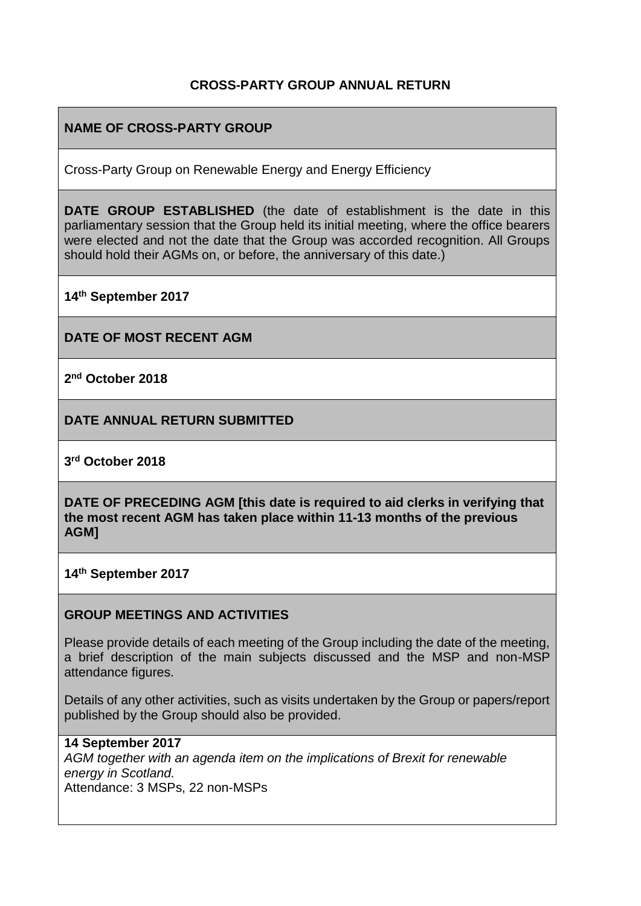# **CROSS-PARTY GROUP ANNUAL RETURN**

# **NAME OF CROSS-PARTY GROUP**

Cross-Party Group on Renewable Energy and Energy Efficiency

**DATE GROUP ESTABLISHED** (the date of establishment is the date in this parliamentary session that the Group held its initial meeting, where the office bearers were elected and not the date that the Group was accorded recognition. All Groups should hold their AGMs on, or before, the anniversary of this date.)

**14th September 2017**

**DATE OF MOST RECENT AGM**

**2 nd October 2018**

**DATE ANNUAL RETURN SUBMITTED**

**3 rd October 2018**

**DATE OF PRECEDING AGM [this date is required to aid clerks in verifying that the most recent AGM has taken place within 11-13 months of the previous AGM]**

**14th September 2017**

#### **GROUP MEETINGS AND ACTIVITIES**

Please provide details of each meeting of the Group including the date of the meeting, a brief description of the main subjects discussed and the MSP and non-MSP attendance figures.

Details of any other activities, such as visits undertaken by the Group or papers/report published by the Group should also be provided.

#### **14 September 2017**

*AGM together with an agenda item on the implications of Brexit for renewable energy in Scotland.* Attendance: 3 MSPs, 22 non-MSPs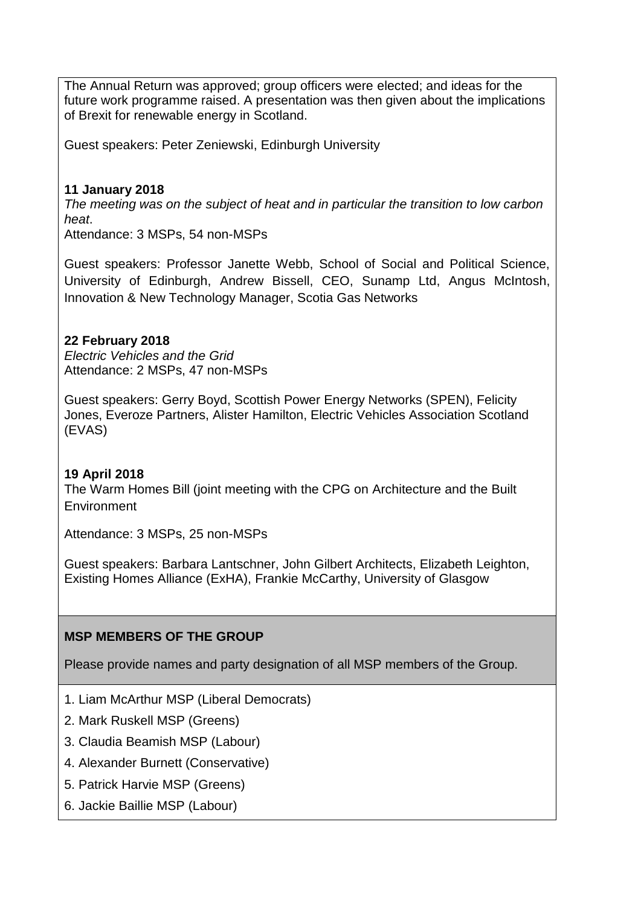The Annual Return was approved; group officers were elected; and ideas for the future work programme raised. A presentation was then given about the implications of Brexit for renewable energy in Scotland.

Guest speakers: Peter Zeniewski, Edinburgh University

## **11 January 2018**

*The meeting was on the subject of heat and in particular the transition to low carbon heat*.

Attendance: 3 MSPs, 54 non-MSPs

Guest speakers: Professor Janette Webb, School of Social and Political Science, University of Edinburgh, Andrew Bissell, CEO, Sunamp Ltd, Angus McIntosh, Innovation & New Technology Manager, Scotia Gas Networks

# **22 February 2018**

*Electric Vehicles and the Grid* Attendance: 2 MSPs, 47 non-MSPs

Guest speakers: Gerry Boyd, Scottish Power Energy Networks (SPEN), Felicity Jones, Everoze Partners, Alister Hamilton, Electric Vehicles Association Scotland (EVAS)

# **19 April 2018**

The Warm Homes Bill (joint meeting with the CPG on Architecture and the Built Environment

Attendance: 3 MSPs, 25 non-MSPs

Guest speakers: Barbara Lantschner, John Gilbert Architects, Elizabeth Leighton, Existing Homes Alliance (ExHA), Frankie McCarthy, University of Glasgow

# **MSP MEMBERS OF THE GROUP**

Please provide names and party designation of all MSP members of the Group.

- 1. Liam McArthur MSP (Liberal Democrats)
- 2. Mark Ruskell MSP (Greens)
- 3. Claudia Beamish MSP (Labour)
- 4. Alexander Burnett (Conservative)
- 5. Patrick Harvie MSP (Greens)
- 6. Jackie Baillie MSP (Labour)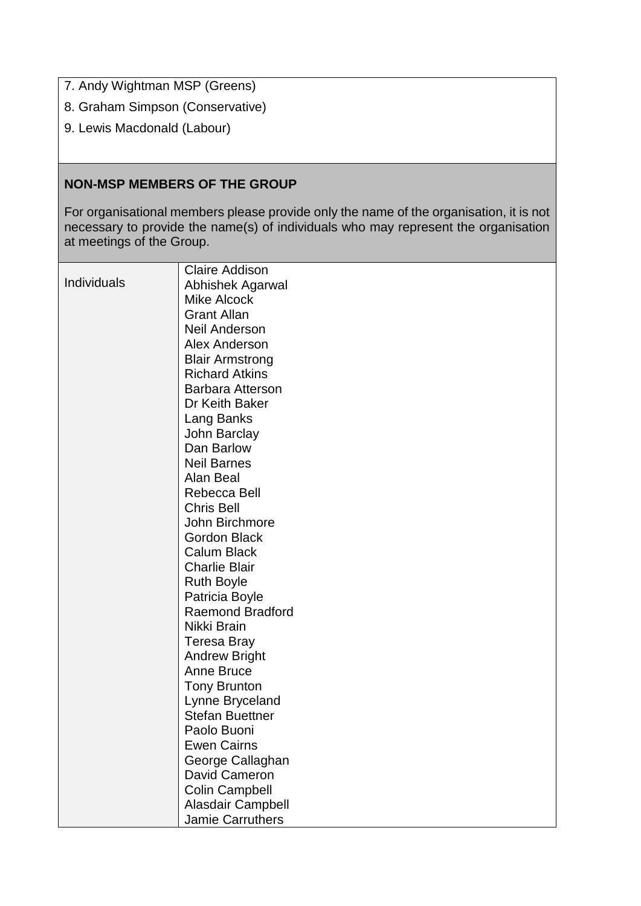7. Andy Wightman MSP (Greens)

- 8. Graham Simpson (Conservative)
- 9. Lewis Macdonald (Labour)

## **NON-MSP MEMBERS OF THE GROUP**

For organisational members please provide only the name of the organisation, it is not necessary to provide the name(s) of individuals who may represent the organisation at meetings of the Group.

|             | <b>Claire Addison</b>   |
|-------------|-------------------------|
| Individuals | Abhishek Agarwal        |
|             | <b>Mike Alcock</b>      |
|             | <b>Grant Allan</b>      |
|             | <b>Neil Anderson</b>    |
|             | <b>Alex Anderson</b>    |
|             | <b>Blair Armstrong</b>  |
|             | <b>Richard Atkins</b>   |
|             | <b>Barbara Atterson</b> |
|             | Dr Keith Baker          |
|             | Lang Banks              |
|             | John Barclay            |
|             | Dan Barlow              |
|             | <b>Neil Barnes</b>      |
|             | Alan Beal               |
|             | Rebecca Bell            |
|             | <b>Chris Bell</b>       |
|             | John Birchmore          |
|             | <b>Gordon Black</b>     |
|             | <b>Calum Black</b>      |
|             | <b>Charlie Blair</b>    |
|             | <b>Ruth Boyle</b>       |
|             | Patricia Boyle          |
|             | <b>Raemond Bradford</b> |
|             | Nikki Brain             |
|             | <b>Teresa Bray</b>      |
|             | <b>Andrew Bright</b>    |
|             | <b>Anne Bruce</b>       |
|             | <b>Tony Brunton</b>     |
|             | Lynne Bryceland         |
|             | <b>Stefan Buettner</b>  |
|             | Paolo Buoni             |
|             | <b>Ewen Cairns</b>      |
|             | George Callaghan        |
|             | David Cameron           |
|             | <b>Colin Campbell</b>   |
|             | Alasdair Campbell       |
|             | Jamie Carruthers        |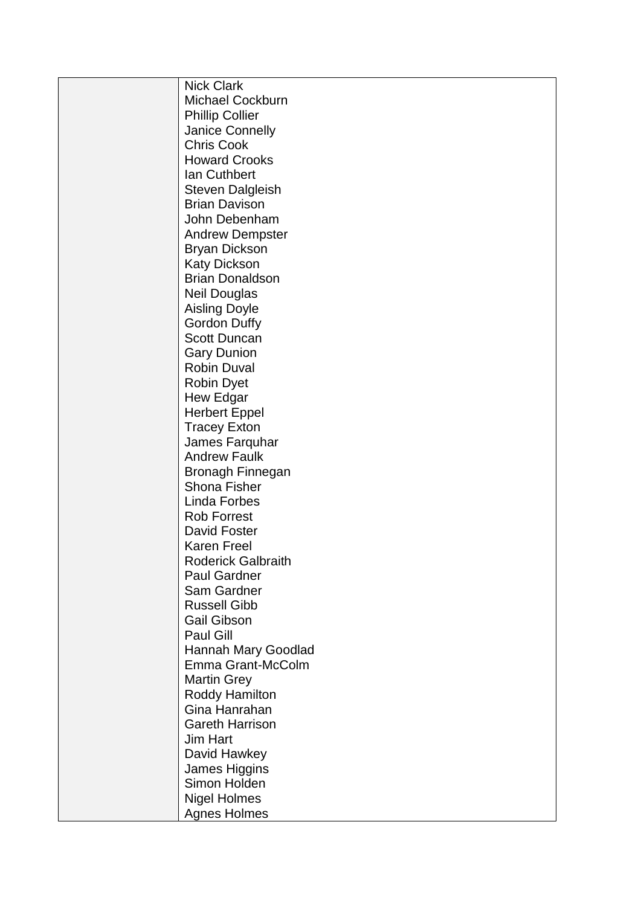| <b>Nick Clark</b>                       |
|-----------------------------------------|
| <b>Michael Cockburn</b>                 |
| <b>Phillip Collier</b>                  |
| Janice Connelly                         |
| <b>Chris Cook</b>                       |
| <b>Howard Crooks</b>                    |
| Ian Cuthbert                            |
| <b>Steven Dalgleish</b>                 |
| <b>Brian Davison</b>                    |
| John Debenham                           |
| <b>Andrew Dempster</b>                  |
| <b>Bryan Dickson</b>                    |
| <b>Katy Dickson</b>                     |
| <b>Brian Donaldson</b>                  |
| <b>Neil Douglas</b>                     |
| <b>Aisling Doyle</b>                    |
| <b>Gordon Duffy</b>                     |
| <b>Scott Duncan</b>                     |
| <b>Gary Dunion</b>                      |
| <b>Robin Duval</b>                      |
| <b>Robin Dyet</b>                       |
| Hew Edgar                               |
| <b>Herbert Eppel</b>                    |
| <b>Tracey Exton</b>                     |
| James Farquhar                          |
| <b>Andrew Faulk</b>                     |
| <b>Bronagh Finnegan</b>                 |
| Shona Fisher                            |
| Linda Forbes                            |
| <b>Rob Forrest</b>                      |
| David Foster                            |
| <b>Karen Freel</b>                      |
| <b>Roderick Galbraith</b>               |
| <b>Paul Gardner</b>                     |
| Sam Gardner                             |
| <b>Russell Gibb</b>                     |
| <b>Gail Gibson</b>                      |
| Paul Gill                               |
| Hannah Mary Goodlad                     |
| Emma Grant-McColm                       |
| <b>Martin Grey</b>                      |
|                                         |
| Roddy Hamilton                          |
| Gina Hanrahan<br><b>Gareth Harrison</b> |
|                                         |
| <b>Jim Hart</b>                         |
| David Hawkey                            |
| James Higgins                           |
| Simon Holden                            |
| <b>Nigel Holmes</b>                     |
| <b>Agnes Holmes</b>                     |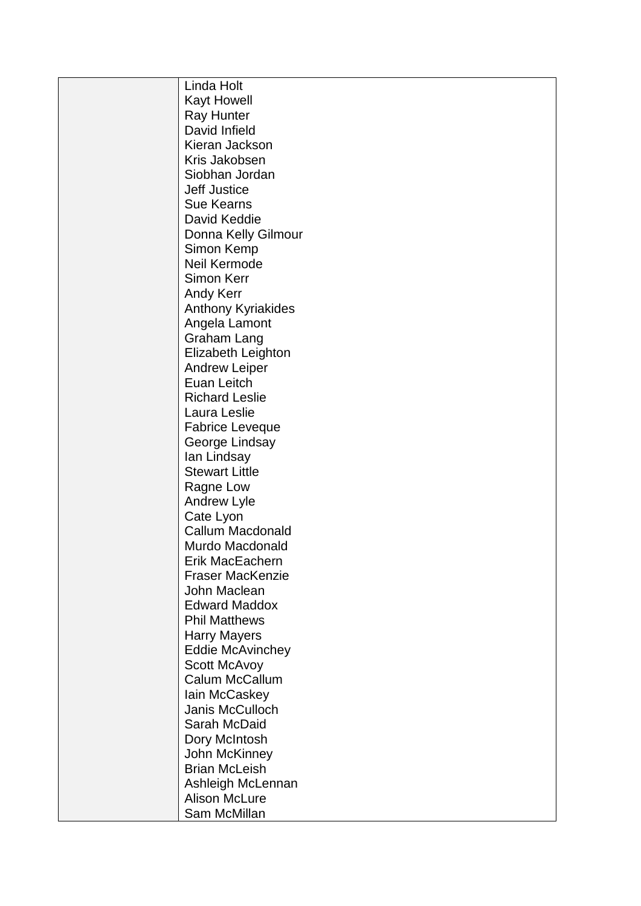| Linda Holt              |
|-------------------------|
| <b>Kayt Howell</b>      |
| <b>Ray Hunter</b>       |
| David Infield           |
| Kieran Jackson          |
| Kris Jakobsen           |
| Siobhan Jordan          |
| <b>Jeff Justice</b>     |
| <b>Sue Kearns</b>       |
| David Keddie            |
| Donna Kelly Gilmour     |
| Simon Kemp              |
| Neil Kermode            |
| Simon Kerr              |
| <b>Andy Kerr</b>        |
| Anthony Kyriakides      |
| Angela Lamont           |
| <b>Graham Lang</b>      |
| Elizabeth Leighton      |
| <b>Andrew Leiper</b>    |
| Euan Leitch             |
| <b>Richard Leslie</b>   |
| Laura Leslie            |
| <b>Fabrice Leveque</b>  |
| George Lindsay          |
| lan Lindsay             |
| <b>Stewart Little</b>   |
| Ragne Low               |
| <b>Andrew Lyle</b>      |
| Cate Lyon               |
| <b>Callum Macdonald</b> |
| Murdo Macdonald         |
| Erik MacEachern         |
| <b>Fraser MacKenzie</b> |
| John Maclean            |
| <b>Edward Maddox</b>    |
| <b>Phil Matthews</b>    |
| <b>Harry Mayers</b>     |
| <b>Eddie McAvinchey</b> |
| Scott McAvoy            |
| Calum McCallum          |
| lain McCaskey           |
| Janis McCulloch         |
| Sarah McDaid            |
| Dory McIntosh           |
| John McKinney           |
| <b>Brian McLeish</b>    |
| Ashleigh McLennan       |
| <b>Alison McLure</b>    |
| Sam McMillan            |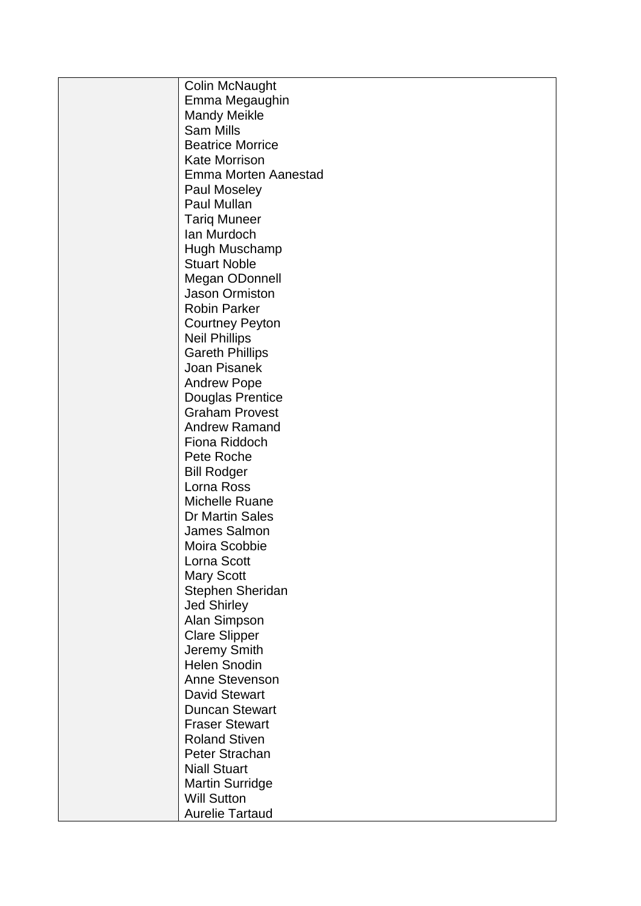| <b>Colin McNaught</b>   |
|-------------------------|
| Emma Megaughin          |
| <b>Mandy Meikle</b>     |
| <b>Sam Mills</b>        |
| <b>Beatrice Morrice</b> |
| <b>Kate Morrison</b>    |
| Emma Morten Aanestad    |
| Paul Moseley            |
| Paul Mullan             |
| <b>Tariq Muneer</b>     |
| Ian Murdoch             |
| Hugh Muschamp           |
| <b>Stuart Noble</b>     |
| Megan ODonnell          |
| <b>Jason Ormiston</b>   |
| <b>Robin Parker</b>     |
| <b>Courtney Peyton</b>  |
| <b>Neil Phillips</b>    |
| <b>Gareth Phillips</b>  |
| Joan Pisanek            |
| <b>Andrew Pope</b>      |
| Douglas Prentice        |
| <b>Graham Provest</b>   |
| <b>Andrew Ramand</b>    |
| Fiona Riddoch           |
| Pete Roche              |
| <b>Bill Rodger</b>      |
| Lorna Ross              |
| Michelle Ruane          |
| <b>Dr Martin Sales</b>  |
| James Salmon            |
| Moira Scobbie           |
| Lorna Scott             |
| <b>Mary Scott</b>       |
| Stephen Sheridan        |
| <b>Jed Shirley</b>      |
| Alan Simpson            |
| <b>Clare Slipper</b>    |
| Jeremy Smith            |
| <b>Helen Snodin</b>     |
| Anne Stevenson          |
| <b>David Stewart</b>    |
| <b>Duncan Stewart</b>   |
| <b>Fraser Stewart</b>   |
| <b>Roland Stiven</b>    |
| Peter Strachan          |
| <b>Niall Stuart</b>     |
| <b>Martin Surridge</b>  |
| <b>Will Sutton</b>      |
| <b>Aurelie Tartaud</b>  |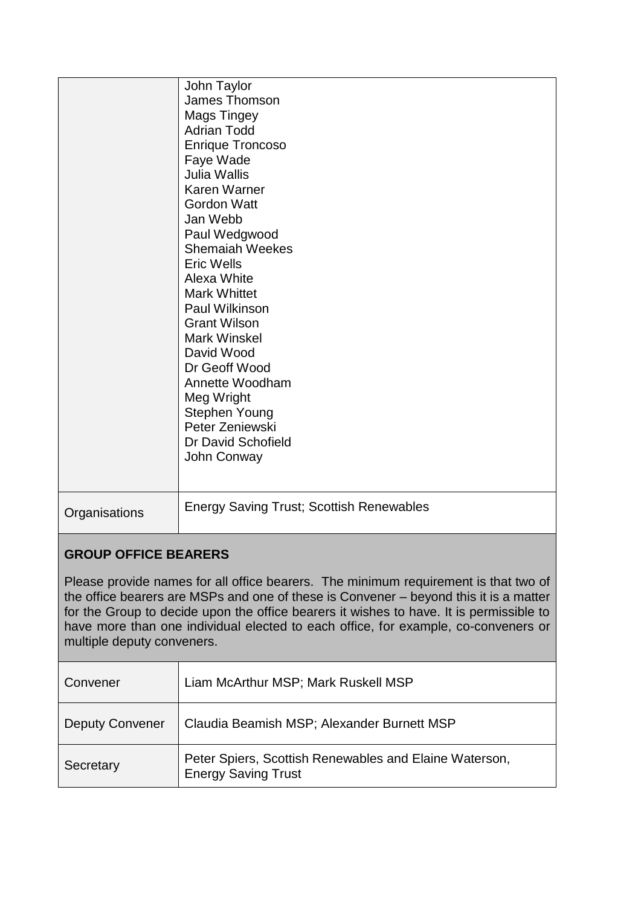|                                                                                                                                                                                                                                                                                                                                                                                             | John Taylor<br><b>James Thomson</b><br><b>Mags Tingey</b><br><b>Adrian Todd</b><br><b>Enrique Troncoso</b><br>Faye Wade<br><b>Julia Wallis</b><br>Karen Warner<br><b>Gordon Watt</b><br>Jan Webb<br>Paul Wedgwood<br><b>Shemaiah Weekes</b><br><b>Eric Wells</b><br>Alexa White<br><b>Mark Whittet</b><br>Paul Wilkinson<br><b>Grant Wilson</b><br><b>Mark Winskel</b><br>David Wood<br>Dr Geoff Wood<br>Annette Woodham<br>Meg Wright<br>Stephen Young<br>Peter Zeniewski<br>Dr David Schofield<br>John Conway |  |
|---------------------------------------------------------------------------------------------------------------------------------------------------------------------------------------------------------------------------------------------------------------------------------------------------------------------------------------------------------------------------------------------|-----------------------------------------------------------------------------------------------------------------------------------------------------------------------------------------------------------------------------------------------------------------------------------------------------------------------------------------------------------------------------------------------------------------------------------------------------------------------------------------------------------------|--|
| Organisations                                                                                                                                                                                                                                                                                                                                                                               | <b>Energy Saving Trust; Scottish Renewables</b>                                                                                                                                                                                                                                                                                                                                                                                                                                                                 |  |
| <b>GROUP OFFICE BEARERS</b>                                                                                                                                                                                                                                                                                                                                                                 |                                                                                                                                                                                                                                                                                                                                                                                                                                                                                                                 |  |
| Please provide names for all office bearers. The minimum requirement is that two of<br>the office bearers are MSPs and one of these is Convener – beyond this it is a matter<br>for the Group to decide upon the office bearers it wishes to have. It is permissible to<br>have more than one individual elected to each office, for example, co-conveners or<br>multiple deputy conveners. |                                                                                                                                                                                                                                                                                                                                                                                                                                                                                                                 |  |
| Convener                                                                                                                                                                                                                                                                                                                                                                                    | Liam McArthur MSP; Mark Ruskell MSP                                                                                                                                                                                                                                                                                                                                                                                                                                                                             |  |
| <b>Deputy Convener</b>                                                                                                                                                                                                                                                                                                                                                                      | Claudia Beamish MSP; Alexander Burnett MSP                                                                                                                                                                                                                                                                                                                                                                                                                                                                      |  |
| Secretary                                                                                                                                                                                                                                                                                                                                                                                   | Peter Spiers, Scottish Renewables and Elaine Waterson,<br><b>Energy Saving Trust</b>                                                                                                                                                                                                                                                                                                                                                                                                                            |  |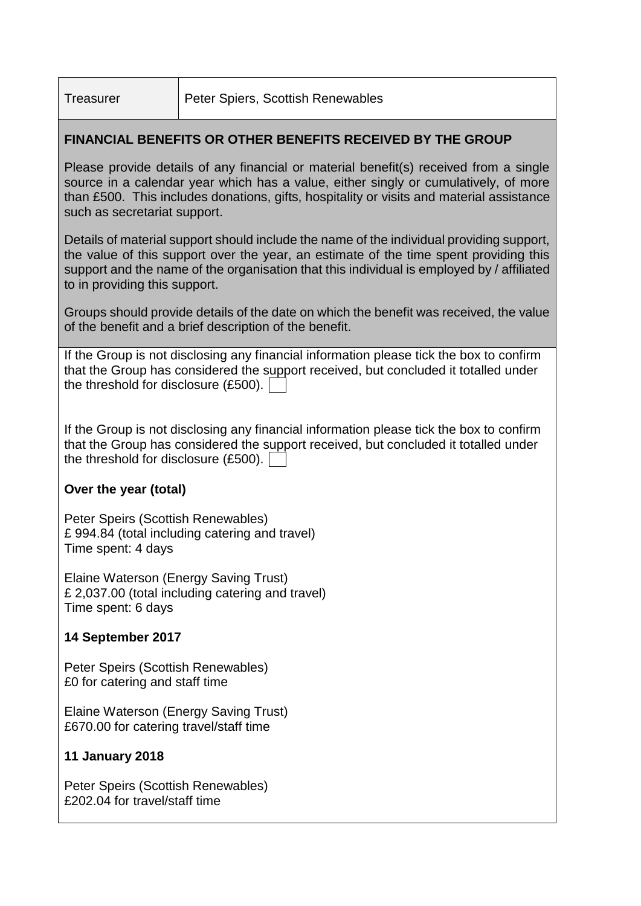# **FINANCIAL BENEFITS OR OTHER BENEFITS RECEIVED BY THE GROUP**

Please provide details of any financial or material benefit(s) received from a single source in a calendar year which has a value, either singly or cumulatively, of more than £500. This includes donations, gifts, hospitality or visits and material assistance such as secretariat support.

Details of material support should include the name of the individual providing support, the value of this support over the year, an estimate of the time spent providing this support and the name of the organisation that this individual is employed by / affiliated to in providing this support.

Groups should provide details of the date on which the benefit was received, the value of the benefit and a brief description of the benefit.

If the Group is not disclosing any financial information please tick the box to confirm that the Group has considered the support received, but concluded it totalled under the threshold for disclosure (£500).

If the Group is not disclosing any financial information please tick the box to confirm that the Group has considered the support received, but concluded it totalled under the threshold for disclosure (£500).

# **Over the year (total)**

Peter Speirs (Scottish Renewables) £ 994.84 (total including catering and travel) Time spent: 4 days

Elaine Waterson (Energy Saving Trust) £ 2,037.00 (total including catering and travel) Time spent: 6 days

# **14 September 2017**

Peter Speirs (Scottish Renewables) £0 for catering and staff time

Elaine Waterson (Energy Saving Trust) £670.00 for catering travel/staff time

# **11 January 2018**

Peter Speirs (Scottish Renewables) £202.04 for travel/staff time